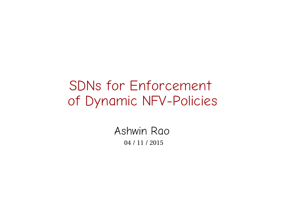#### SDNs for Enforcement of Dynamic NFV-Policies

Ashwin Rao 04 / 11 / 2015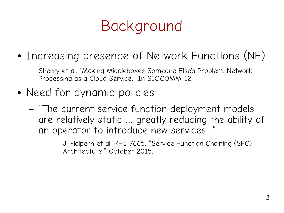

• Increasing presence of Network Functions (NF)

Sherry et al. "Making Middleboxes Someone Else's Problem: Network Processing as a Cloud Service." In SIGCOMM '12.

- Need for dynamic policies
	- "The current service function deployment models are relatively static … greatly reducing the ability of an operator to introduce new services...'

J. Halpern et al. RFC 7665. "Service Function Chaining (SFC) Architecture." October 2015.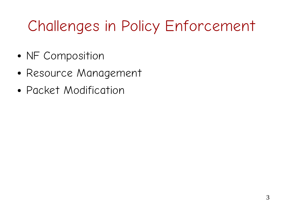- NF Composition
- Resource Management
- Packet Modification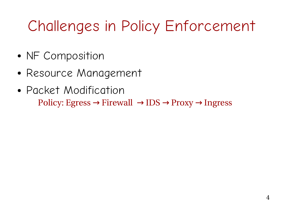- NF Composition
- Resource Management
- Packet Modification Policy: Egress  $\rightarrow$  Firewall  $\rightarrow$  IDS  $\rightarrow$  Proxy  $\rightarrow$  Ingress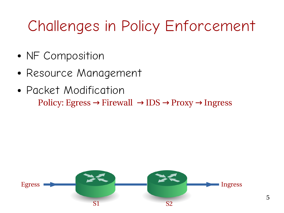- NF Composition
- Resource Management
- Packet Modification Policy: Egress  $\rightarrow$  Firewall  $\rightarrow$  IDS  $\rightarrow$  Proxy  $\rightarrow$  Ingress

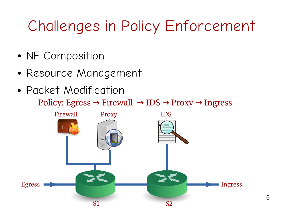- NF Composition
- Resource Management
- Packet Modification Policy: Egress  $\rightarrow$  Firewall  $\rightarrow$  IDS  $\rightarrow$  Proxy  $\rightarrow$  Ingress

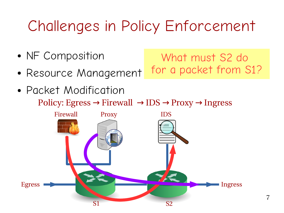What must S2 do

for a packet from S1?

- NF Composition
- Resource Management
- Packet Modification Policy: Egress  $\rightarrow$  Firewall  $\rightarrow$  IDS  $\rightarrow$  Proxy  $\rightarrow$  Ingress



7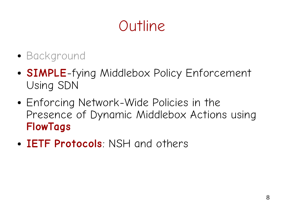## Outline

- Background
- **SIMPLE**-fying Middlebox Policy Enforcement Using SDN
- Enforcing Network-Wide Policies in the Presence of Dynamic Middlebox Actions using **FlowTags**
- **IETF Protocols**: NSH and others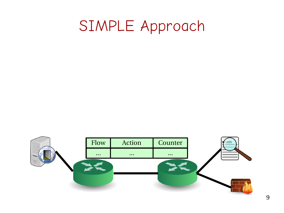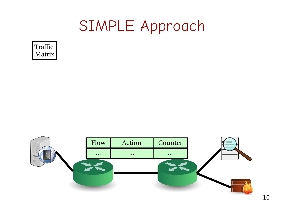

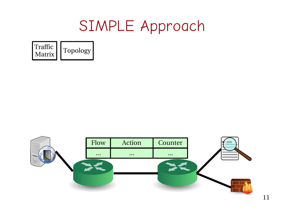

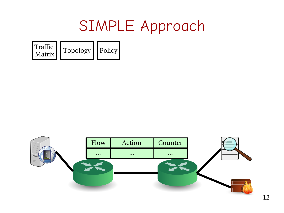![](_page_11_Picture_1.jpeg)

![](_page_11_Picture_2.jpeg)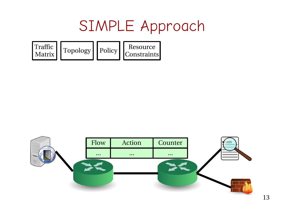![](_page_12_Figure_1.jpeg)

![](_page_12_Picture_2.jpeg)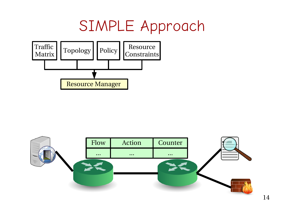![](_page_13_Figure_1.jpeg)

![](_page_13_Picture_2.jpeg)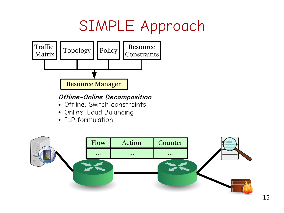![](_page_14_Figure_1.jpeg)

#### **Offline-Online Decomposition**

- Offline: Switch constraints
- Online: Load Balancing
- ILP formulation

![](_page_14_Picture_6.jpeg)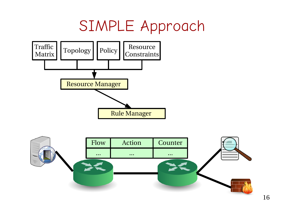![](_page_15_Figure_1.jpeg)

![](_page_15_Picture_2.jpeg)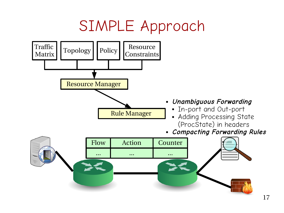![](_page_16_Figure_1.jpeg)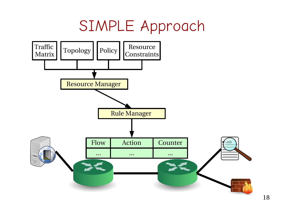![](_page_17_Figure_1.jpeg)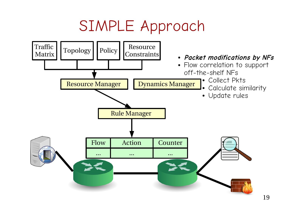![](_page_18_Figure_1.jpeg)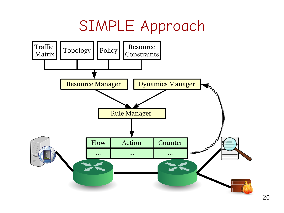![](_page_19_Figure_1.jpeg)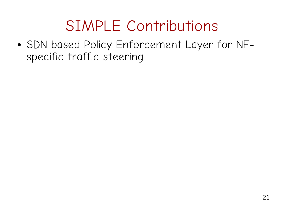• SDN based Policy Enforcement Layer for NFspecific traffic steering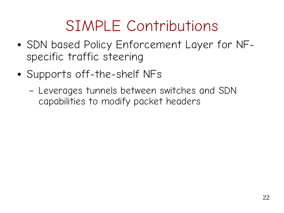- SDN based Policy Enforcement Layer for NFspecific traffic steering
- Supports off-the-shelf NFs
	- Leverages tunnels between switches and SDN capabilities to modify packet headers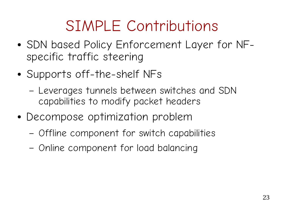- SDN based Policy Enforcement Layer for NFspecific traffic steering
- Supports off-the-shelf NFs
	- Leverages tunnels between switches and SDN capabilities to modify packet headers
- Decompose optimization problem
	- Offline component for switch capabilities
	- Online component for load balancing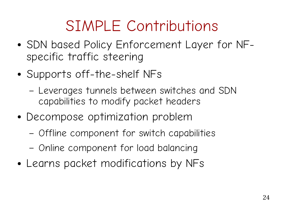- SDN based Policy Enforcement Layer for NFspecific traffic steering
- Supports off-the-shelf NFs
	- Leverages tunnels between switches and SDN capabilities to modify packet headers
- Decompose optimization problem
	- Offline component for switch capabilities
	- Online component for load balancing
- Learns packet modifications by NFs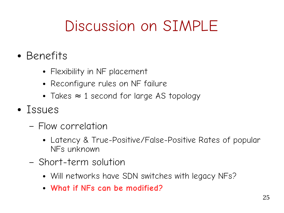# Discussion on SIMPLE

- Benefits
	- Flexibility in NF placement
	- Reconfigure rules on NF failure
	- Takes  $\approx$  1 second for large AS topology
- Issues
	- Flow correlation
		- Latency & True-Positive/False-Positive Rates of popular NFs unknown
	- Short-term solution
		- Will networks have SDN switches with legacy NFs?
		- **What if NFs can be modified?**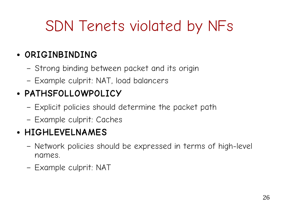# SDN Tenets violated by NFs

#### ● **ORIGINBINDING**

- Strong binding between packet and its origin
- Example culprit: NAT, load balancers

#### ● **PATHSFOLLOWPOLICY**

- Explicit policies should determine the packet path
- Example culprit: Caches

#### ● **HIGHLEVELNAMES**

- Network policies should be expressed in terms of high-level names.
- Example culprit: NAT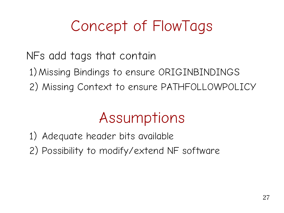# Concept of FlowTags

NFs add tags that contain

1)Missing Bindings to ensure ORIGINBINDINGS

2) Missing Context to ensure PATHFOLLOWPOLICY

### Assumptions

1) Adequate header bits available

2) Possibility to modify/extend NF software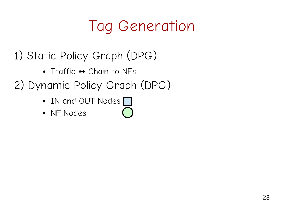- 1) Static Policy Graph (DPG)
	- Traffic  $\Leftrightarrow$  Chain to NFs
- 2) Dynamic Policy Graph (DPG)
	- IN and OUT Nodes  $\Box$
	- NF Nodes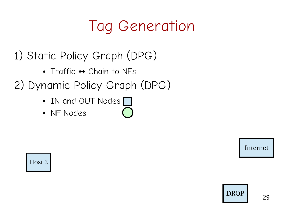- 1) Static Policy Graph (DPG)
	- Traffic  $\Leftrightarrow$  Chain to NFs
- 2) Dynamic Policy Graph (DPG)
	- IN and OUT Nodes
	- NF Nodes

Internet

Host 2

![](_page_28_Picture_8.jpeg)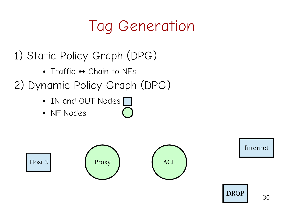- 1) Static Policy Graph (DPG)
	- Traffic  $\Leftrightarrow$  Chain to NFs
- 2) Dynamic Policy Graph (DPG)
	- IN and OUT Nodes  $\Box$
	- NF Nodes

Host 2 Proxy Proxy ACL

Internet

![](_page_29_Picture_8.jpeg)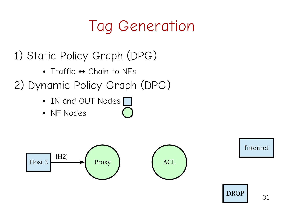- 1) Static Policy Graph (DPG)
	- Traffic  $\Leftrightarrow$  Chain to NFs
- 2) Dynamic Policy Graph (DPG)
	- IN and OUT Nodes  $\Box$
	- NF Nodes

![](_page_30_Figure_6.jpeg)

Internet

![](_page_30_Picture_8.jpeg)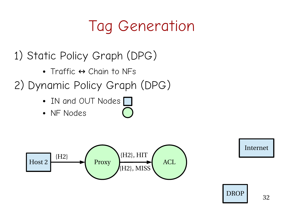- 1) Static Policy Graph (DPG)
	- Traffic  $\Leftrightarrow$  Chain to NFs
- 2) Dynamic Policy Graph (DPG)
	- IN and OUT Nodes [
	- NF Nodes

![](_page_31_Figure_6.jpeg)

Internet

![](_page_31_Picture_8.jpeg)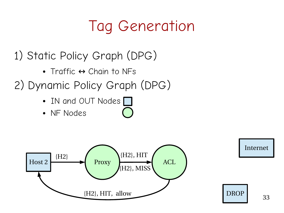- 1) Static Policy Graph (DPG)
	- Traffic  $\Leftrightarrow$  Chain to NFs
- 2) Dynamic Policy Graph (DPG)
	- IN and OUT Nodes  $\Box$
	- NF Nodes

![](_page_32_Figure_6.jpeg)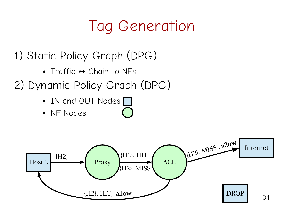- 1) Static Policy Graph (DPG)
	- Traffic  $\Leftrightarrow$  Chain to NFs
- 2) Dynamic Policy Graph (DPG)
	- IN and OUT Nodes [
	- NF Nodes

![](_page_33_Figure_6.jpeg)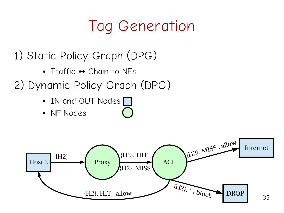- 1) Static Policy Graph (DPG)
	- Traffic  $\leftrightarrow$  Chain to NFs
- 2) Dynamic Policy Graph (DPG)
	- IN and OUT Nodes [
	- NF Nodes

![](_page_34_Figure_6.jpeg)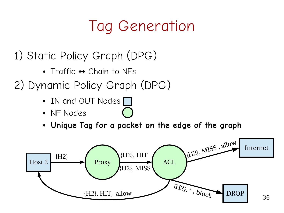- 1) Static Policy Graph (DPG)
	- Traffic  $\Leftrightarrow$  Chain to NFs
- 2) Dynamic Policy Graph (DPG)
	- IN and OUT Nodes |
	- NF Nodes
	- **Unique Tag for a packet on the edge of the graph**

![](_page_35_Figure_7.jpeg)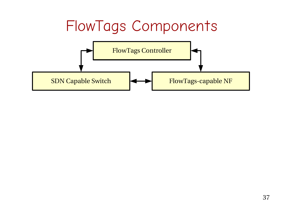![](_page_36_Figure_0.jpeg)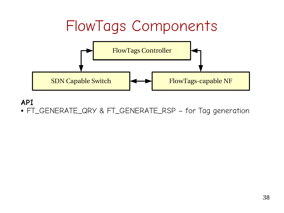![](_page_37_Figure_0.jpeg)

● FT\_GENERATE\_QRY & FT\_GENERATE\_RSP – for Tag generation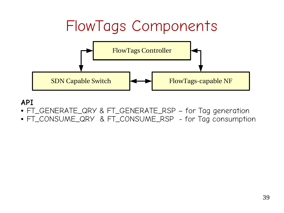![](_page_38_Figure_0.jpeg)

- FT\_GENERATE\_QRY & FT\_GENERATE\_RSP for Tag generation
- FT\_CONSUME\_QRY & FT\_CONSUME\_RSP for Tag consumption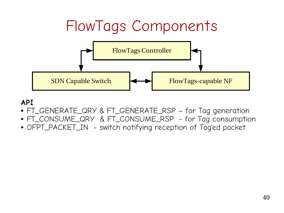![](_page_39_Figure_0.jpeg)

- FT\_GENERATE\_QRY & FT\_GENERATE\_RSP for Tag generation
- FT\_CONSUME\_QRY & FT\_CONSUME\_RSP for Tag consumption
- OFPT\_PACKET\_IN switch notifying reception of Tag'ed packet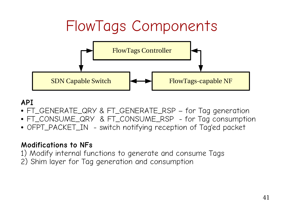![](_page_40_Figure_0.jpeg)

- FT\_GENERATE\_QRY & FT\_GENERATE\_RSP for Tag generation
- FT\_CONSUME\_QRY & FT\_CONSUME\_RSP for Tag consumption
- OFPT\_PACKET\_IN switch notifying reception of Tag'ed packet

#### **Modifications to NFs**

- 1) Modify internal functions to generate and consume Tags
- 2) Shim layer for Tag generation and consumption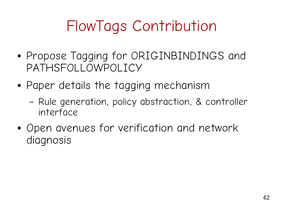# FlowTags Contribution

- Propose Tagging for ORIGINBINDINGS and PATHSFOLLOWPOLICY
- Paper details the tagging mechanism
	- Rule generation, policy abstraction, & controller interface
- Open avenues for verification and network diagnosis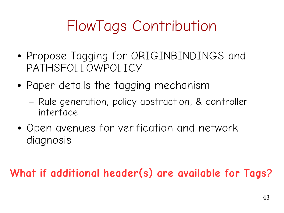# FlowTags Contribution

- Propose Tagging for ORIGINBINDINGS and PATHSFOLLOWPOLICY
- Paper details the tagging mechanism
	- Rule generation, policy abstraction, & controller interface
- Open avenues for verification and network diagnosis

#### **What if additional header(s) are available for Tags?**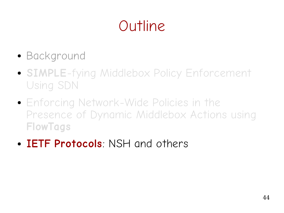# Outline

- Background
- **SIMPLE**-fying Middlebox Policy Enforcement Using SDN
- Enforcing Network-Wide Policies in the Presence of Dynamic Middlebox Actions using **FlowTags**
- **IETF Protocols**: NSH and others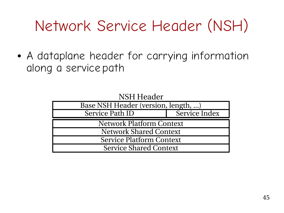# Network Service Header (NSH)

• A dataplane header for carrying information along a service path

| NSH Header                          |               |
|-------------------------------------|---------------|
| Base NSH Header (version, length, ) |               |
| Service Path ID                     | Service Index |
| <b>Network Platform Context</b>     |               |
| <b>Network Shared Context</b>       |               |
| <b>Service Platform Context</b>     |               |
| <b>Service Shared Context</b>       |               |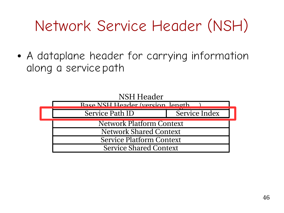# Network Service Header (NSH)

• A dataplane header for carrying information along a service path

![](_page_45_Figure_2.jpeg)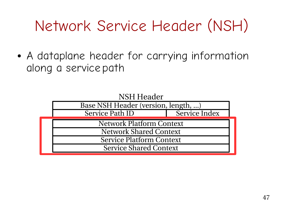# Network Service Header (NSH)

• A dataplane header for carrying information along a service path

![](_page_46_Figure_2.jpeg)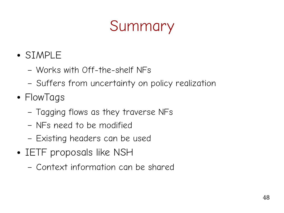# Summary

- SIMPLE
	- Works with Off-the-shelf NFs
	- Suffers from uncertainty on policy realization
- FlowTags
	- Tagging flows as they traverse NFs
	- NFs need to be modified
	- Existing headers can be used
- IETF proposals like NSH
	- Context information can be shared